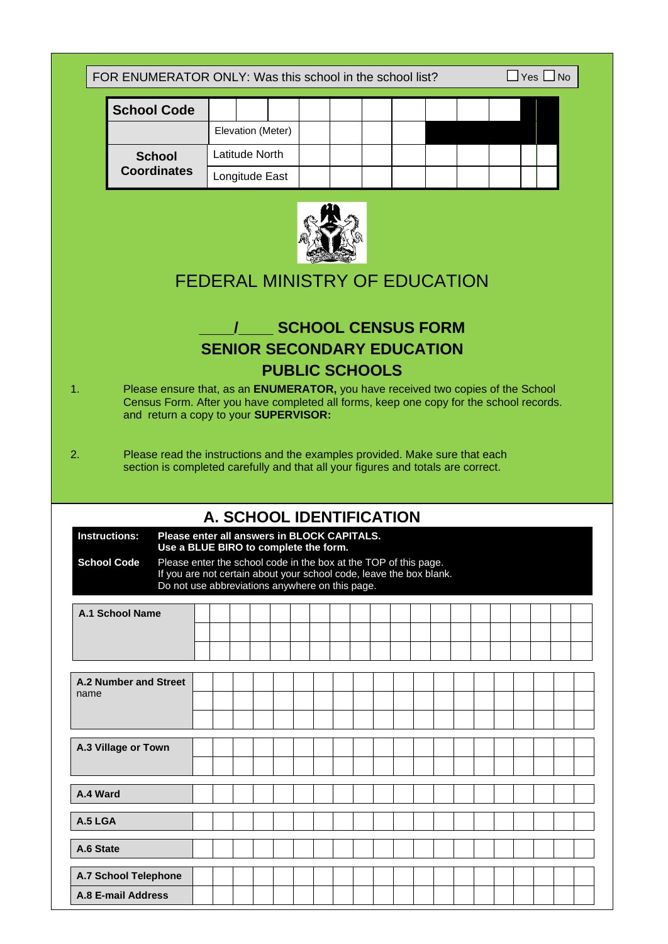FOR ENUMERATOR ONLY: Was this school in the school list?  $\Box$  Yes  $\Box$  No

| <b>School Code</b> |                |                   |  |  |  |  |  |  |
|--------------------|----------------|-------------------|--|--|--|--|--|--|
|                    |                | Elevation (Meter) |  |  |  |  |  |  |
| <b>School</b>      |                | Latitude North    |  |  |  |  |  |  |
| <b>Coordinates</b> | Longitude East |                   |  |  |  |  |  |  |



# FEDERAL MINISTRY OF EDUCATION

# **\_\_\_\_/\_\_\_\_ SCHOOL CENSUS FORM SENIOR SECONDARY EDUCATION PUBLIC SCHOOLS**

- 1. Please ensure that, as an **ENUMERATOR,** you have received two copies of the School Census Form. After you have completed all forms, keep one copy for the school records. and return a copy to your **SUPERVISOR:**
- 2. Please read the instructions and the examples provided. Make sure that each section is completed carefully and that all your figures and totals are correct.

| A. SCHOOL IDENTIFICATION                                                                                                                                                                                                                                                                                                         |  |  |  |  |  |  |  |  |  |  |  |  |  |  |  |  |  |
|----------------------------------------------------------------------------------------------------------------------------------------------------------------------------------------------------------------------------------------------------------------------------------------------------------------------------------|--|--|--|--|--|--|--|--|--|--|--|--|--|--|--|--|--|
| <b>Instructions:</b><br>Please enter all answers in BLOCK CAPITALS.<br>Use a BLUE BIRO to complete the form.<br>Please enter the school code in the box at the TOP of this page.<br><b>School Code</b><br>If you are not certain about your school code, leave the box blank.<br>Do not use abbreviations anywhere on this page. |  |  |  |  |  |  |  |  |  |  |  |  |  |  |  |  |  |
| <b>A.1 School Name</b>                                                                                                                                                                                                                                                                                                           |  |  |  |  |  |  |  |  |  |  |  |  |  |  |  |  |  |
| A.2 Number and Street<br>name                                                                                                                                                                                                                                                                                                    |  |  |  |  |  |  |  |  |  |  |  |  |  |  |  |  |  |
| A.3 Village or Town                                                                                                                                                                                                                                                                                                              |  |  |  |  |  |  |  |  |  |  |  |  |  |  |  |  |  |
| A.4 Ward                                                                                                                                                                                                                                                                                                                         |  |  |  |  |  |  |  |  |  |  |  |  |  |  |  |  |  |
| $A.5$ LGA                                                                                                                                                                                                                                                                                                                        |  |  |  |  |  |  |  |  |  |  |  |  |  |  |  |  |  |
| A.6 State                                                                                                                                                                                                                                                                                                                        |  |  |  |  |  |  |  |  |  |  |  |  |  |  |  |  |  |
| A.7 School Telephone<br>A.8 E-mail Address                                                                                                                                                                                                                                                                                       |  |  |  |  |  |  |  |  |  |  |  |  |  |  |  |  |  |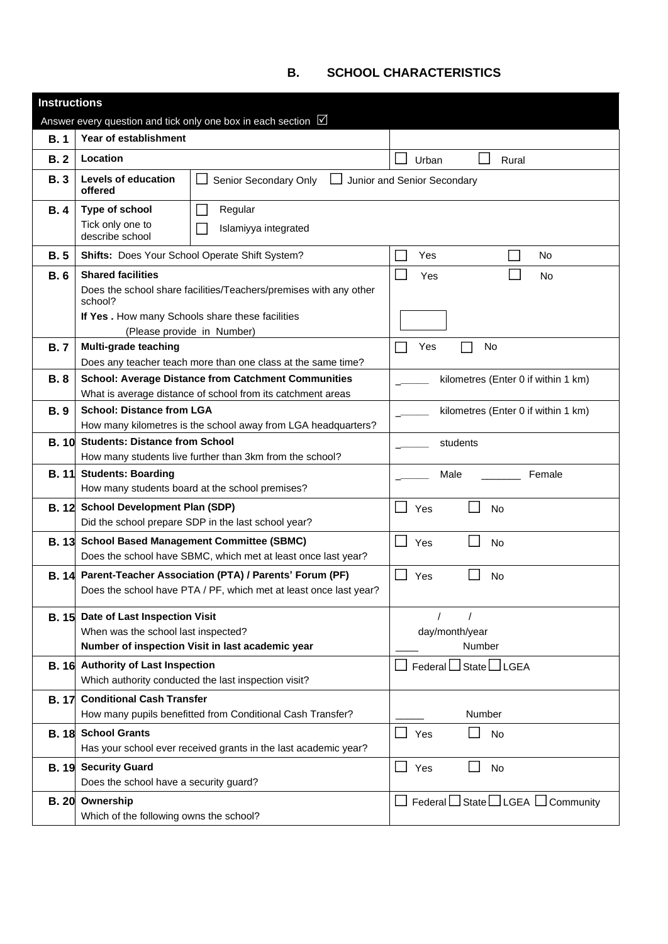# **B. SCHOOL CHARACTERISTICS**

| <b>Instructions</b> |                                                                                   |                                                                         |                                                          |
|---------------------|-----------------------------------------------------------------------------------|-------------------------------------------------------------------------|----------------------------------------------------------|
|                     |                                                                                   | Answer every question and tick only one box in each section $\boxtimes$ |                                                          |
| B.1                 | Year of establishment                                                             |                                                                         |                                                          |
| <b>B.2</b>          | Location                                                                          |                                                                         | Urban<br>Rural                                           |
| <b>B.3</b>          | Levels of education<br>offered                                                    | Senior Secondary Only                                                   | Junior and Senior Secondary                              |
| <b>B.4</b>          | Type of school                                                                    | Regular                                                                 |                                                          |
|                     | Tick only one to<br>describe school                                               | Islamiyya integrated                                                    |                                                          |
| <b>B.5</b>          |                                                                                   | Shifts: Does Your School Operate Shift System?                          | Yes<br>No                                                |
| <b>B.6</b>          | <b>Shared facilities</b>                                                          |                                                                         | Yes<br><b>No</b>                                         |
|                     | school?                                                                           | Does the school share facilities/Teachers/premises with any other       |                                                          |
|                     | If Yes. How many Schools share these facilities                                   |                                                                         |                                                          |
|                     |                                                                                   | (Please provide in Number)                                              |                                                          |
| <b>B.7</b>          | Multi-grade teaching                                                              | Does any teacher teach more than one class at the same time?            | Yes<br>No                                                |
| <b>B.8</b>          |                                                                                   | <b>School: Average Distance from Catchment Communities</b>              | kilometres (Enter 0 if within 1 km)                      |
|                     |                                                                                   | What is average distance of school from its catchment areas             |                                                          |
| <b>B.9</b>          | <b>School: Distance from LGA</b>                                                  |                                                                         | kilometres (Enter 0 if within 1 km)                      |
|                     |                                                                                   | How many kilometres is the school away from LGA headquarters?           |                                                          |
| <b>B.10</b>         | <b>Students: Distance from School</b>                                             |                                                                         | students                                                 |
|                     |                                                                                   | How many students live further than 3km from the school?                |                                                          |
| <b>B.</b> 11        | <b>Students: Boarding</b>                                                         |                                                                         | Male<br>Female                                           |
|                     |                                                                                   | How many students board at the school premises?                         |                                                          |
| <b>B.12</b>         | <b>School Development Plan (SDP)</b>                                              | Did the school prepare SDP in the last school year?                     | Yes<br><b>No</b>                                         |
| <b>B.13</b>         |                                                                                   | <b>School Based Management Committee (SBMC)</b>                         |                                                          |
|                     |                                                                                   | Does the school have SBMC, which met at least once last year?           | Yes<br>No                                                |
| <b>B.</b> 14        |                                                                                   | Parent-Teacher Association (PTA) / Parents' Forum (PF)                  | Yes<br>No                                                |
|                     |                                                                                   | Does the school have PTA / PF, which met at least once last year?       |                                                          |
|                     |                                                                                   |                                                                         |                                                          |
|                     | <b>B. 15</b> Date of Last Inspection Visit<br>When was the school last inspected? |                                                                         | day/month/year                                           |
|                     |                                                                                   | Number of inspection Visit in last academic year                        | Number                                                   |
|                     | B. 16 Authority of Last Inspection                                                |                                                                         | $F$ ederal $\Box$ State $\Box$ LGEA                      |
|                     |                                                                                   | Which authority conducted the last inspection visit?                    |                                                          |
| <b>B.</b> 17        | <b>Conditional Cash Transfer</b>                                                  |                                                                         |                                                          |
|                     |                                                                                   | How many pupils benefitted from Conditional Cash Transfer?              | Number                                                   |
| <b>B.18</b>         | <b>School Grants</b>                                                              |                                                                         | Yes<br>ப<br>No                                           |
|                     |                                                                                   | Has your school ever received grants in the last academic year?         |                                                          |
| <b>B.19</b>         | <b>Security Guard</b>                                                             |                                                                         | $\Box$ Yes<br>No                                         |
|                     | Does the school have a security guard?                                            |                                                                         |                                                          |
|                     | B. 20 Ownership<br>Which of the following owns the school?                        |                                                                         | $\Box$ Federal $\Box$ State $\Box$ LGEA $\Box$ Community |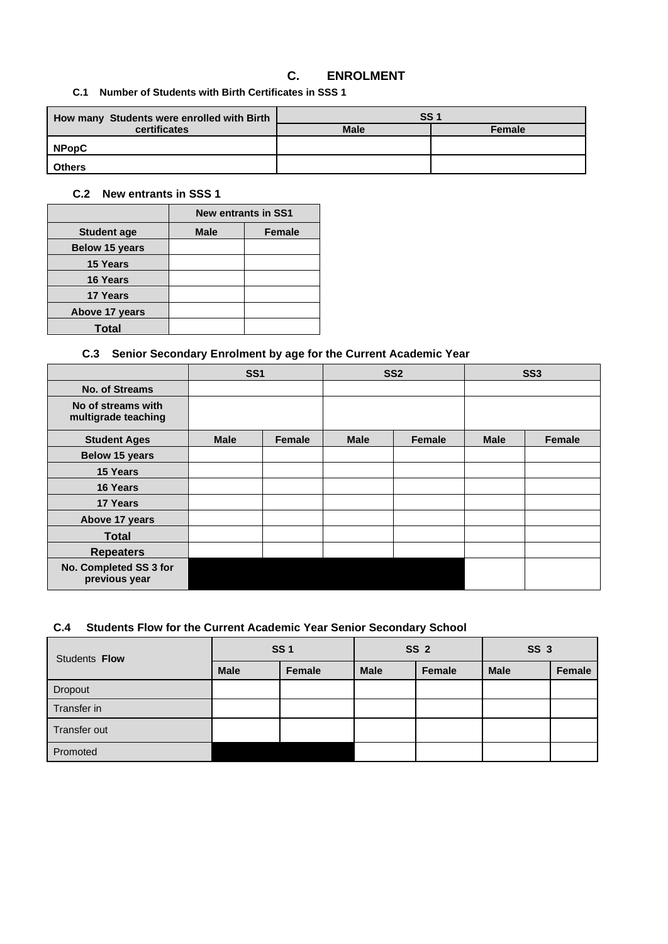## **C. ENROLMENT**

**C.1 Number of Students with Birth Certificates in SSS 1**

| How many Students were enrolled with Birth | SS <sub>1</sub> |        |  |  |  |  |
|--------------------------------------------|-----------------|--------|--|--|--|--|
| certificates                               | <b>Male</b>     | Female |  |  |  |  |
| <b>NPopC</b>                               |                 |        |  |  |  |  |
| <b>Others</b>                              |                 |        |  |  |  |  |

#### **C.2 New entrants in SSS 1**

|                       | <b>New entrants in SS1</b> |               |  |  |  |  |  |
|-----------------------|----------------------------|---------------|--|--|--|--|--|
| <b>Student age</b>    | <b>Male</b>                | <b>Female</b> |  |  |  |  |  |
| <b>Below 15 years</b> |                            |               |  |  |  |  |  |
| <b>15 Years</b>       |                            |               |  |  |  |  |  |
| <b>16 Years</b>       |                            |               |  |  |  |  |  |
| <b>17 Years</b>       |                            |               |  |  |  |  |  |
| Above 17 years        |                            |               |  |  |  |  |  |
| <b>Total</b>          |                            |               |  |  |  |  |  |

### **C.3 Senior Secondary Enrolment by age for the Current Academic Year**

|                                           |             | <b>SS1</b>    |             | SS <sub>2</sub> |             | SS <sub>3</sub> |  |  |
|-------------------------------------------|-------------|---------------|-------------|-----------------|-------------|-----------------|--|--|
| <b>No. of Streams</b>                     |             |               |             |                 |             |                 |  |  |
| No of streams with<br>multigrade teaching |             |               |             |                 |             |                 |  |  |
| <b>Student Ages</b>                       | <b>Male</b> | <b>Female</b> | <b>Male</b> | <b>Female</b>   | <b>Male</b> | Female          |  |  |
| Below 15 years                            |             |               |             |                 |             |                 |  |  |
| 15 Years                                  |             |               |             |                 |             |                 |  |  |
| 16 Years                                  |             |               |             |                 |             |                 |  |  |
| 17 Years                                  |             |               |             |                 |             |                 |  |  |
| Above 17 years                            |             |               |             |                 |             |                 |  |  |
| <b>Total</b>                              |             |               |             |                 |             |                 |  |  |
| <b>Repeaters</b>                          |             |               |             |                 |             |                 |  |  |
| No. Completed SS 3 for<br>previous year   |             |               |             |                 |             |                 |  |  |

## **C.4 Students Flow for the Current Academic Year Senior Secondary School**

| Students <b>Flow</b> |             | <b>SS1</b> |             | <b>SS 2</b> | SS <sub>3</sub> |        |  |
|----------------------|-------------|------------|-------------|-------------|-----------------|--------|--|
|                      | <b>Male</b> | Female     | <b>Male</b> | Female      | <b>Male</b>     | Female |  |
| Dropout              |             |            |             |             |                 |        |  |
| Transfer in          |             |            |             |             |                 |        |  |
| Transfer out         |             |            |             |             |                 |        |  |
| Promoted             |             |            |             |             |                 |        |  |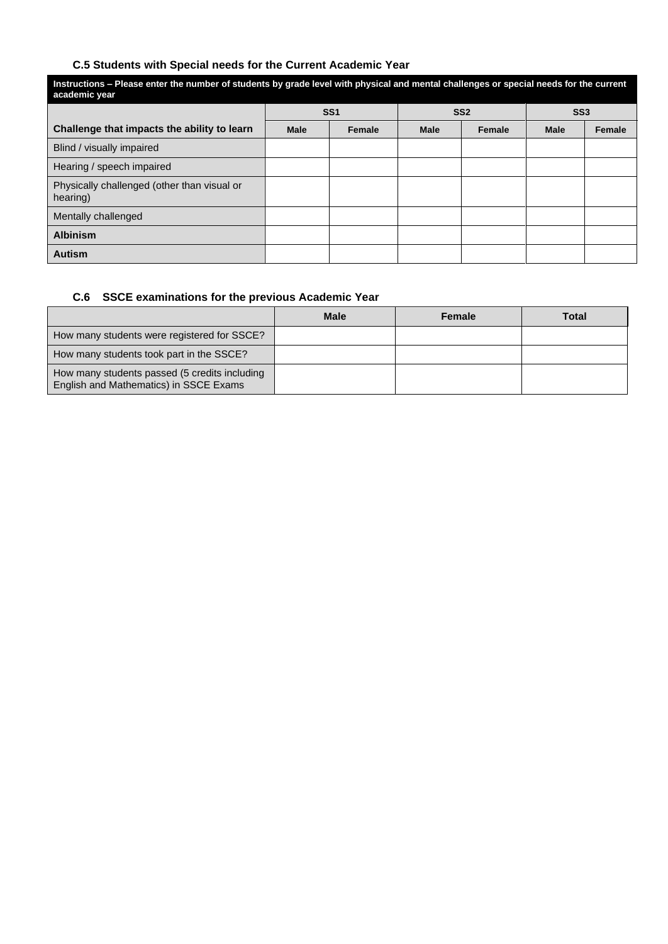### **C.5 Students with Special needs for the Current Academic Year**

| Instructions – Please enter the number of students by grade level with physical and mental challenges or special needs for the current<br>academic year |             |                 |             |                 |                 |        |  |
|---------------------------------------------------------------------------------------------------------------------------------------------------------|-------------|-----------------|-------------|-----------------|-----------------|--------|--|
|                                                                                                                                                         |             | SS <sub>1</sub> |             | SS <sub>2</sub> | SS <sub>3</sub> |        |  |
| Challenge that impacts the ability to learn                                                                                                             | <b>Male</b> | <b>Female</b>   | <b>Male</b> | Female          | <b>Male</b>     | Female |  |
| Blind / visually impaired                                                                                                                               |             |                 |             |                 |                 |        |  |
| Hearing / speech impaired                                                                                                                               |             |                 |             |                 |                 |        |  |
| Physically challenged (other than visual or<br>hearing)                                                                                                 |             |                 |             |                 |                 |        |  |
| Mentally challenged                                                                                                                                     |             |                 |             |                 |                 |        |  |
| <b>Albinism</b>                                                                                                                                         |             |                 |             |                 |                 |        |  |
| <b>Autism</b>                                                                                                                                           |             |                 |             |                 |                 |        |  |

# **C.6 SSCE examinations for the previous Academic Year**

|                                                                                         | <b>Male</b> | <b>Female</b> | Total |
|-----------------------------------------------------------------------------------------|-------------|---------------|-------|
| How many students were registered for SSCE?                                             |             |               |       |
| How many students took part in the SSCE?                                                |             |               |       |
| How many students passed (5 credits including<br>English and Mathematics) in SSCE Exams |             |               |       |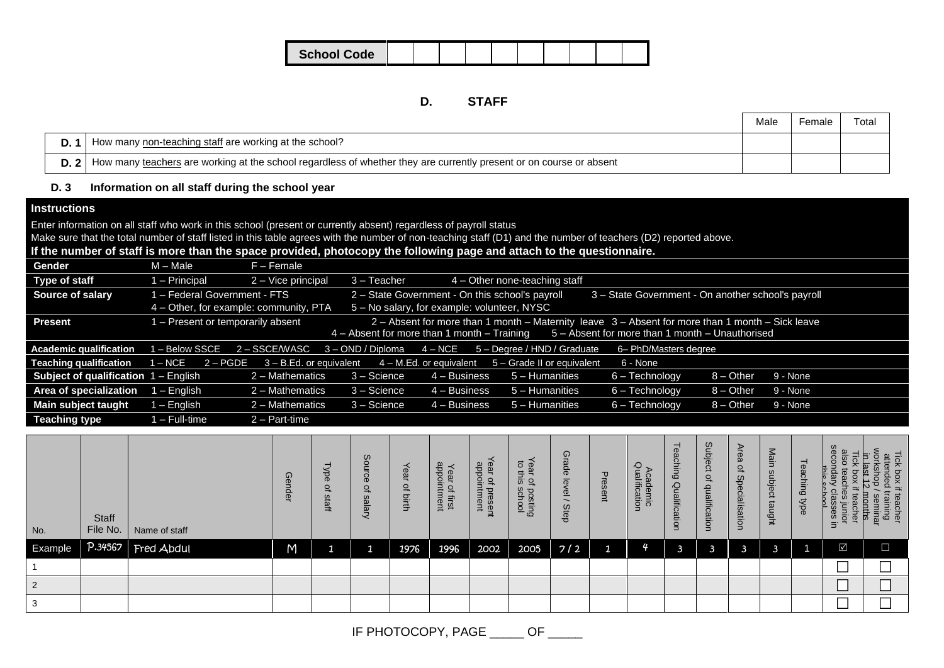| <b>School Code</b> |  |  |  |  |  |
|--------------------|--|--|--|--|--|
|                    |  |  |  |  |  |

### **D. STAFF**

|     |                                                                                                                                 | Male | Female | Total |
|-----|---------------------------------------------------------------------------------------------------------------------------------|------|--------|-------|
| D.1 | How many non-teaching staff are working at the school?                                                                          |      |        |       |
|     | <b>D.</b> 2 How many teachers are working at the school regardless of whether they are currently present or on course or absent |      |        |       |

#### **D. 3 Information on all staff during the school year**

### **Instructions**

Enter information on all staff who work in this school (present or currently absent) regardless of payroll status

Make sure that the total number of staff listed in this table agrees with the number of non-teaching staff (D1) and the number of teachers (D2) reported above.

## **If the number of staff is more than the space provided, photocopy the following page and attach to the questionnaire.**

| Gender                                        | M – Male                               | $F -$ Female              |                                                 |                                                 |                                                                                                  |                                                    |             |          |
|-----------------------------------------------|----------------------------------------|---------------------------|-------------------------------------------------|-------------------------------------------------|--------------------------------------------------------------------------------------------------|----------------------------------------------------|-------------|----------|
| <b>Type of staff</b>                          | - Principal                            | 2 - Vice principal        | $3 - Teacher$                                   |                                                 | 4 – Other none-teaching staff                                                                    |                                                    |             |          |
| Source of salary                              | - Federal Government - FTS             |                           |                                                 | 2 - State Government - On this school's payroll |                                                                                                  | 3 - State Government - On another school's payroll |             |          |
|                                               | 4 – Other, for example: community, PTA |                           |                                                 | 5 - No salary, for example: volunteer, NYSC     |                                                                                                  |                                                    |             |          |
| <b>Present</b>                                | - Present or temporarily absent        |                           |                                                 |                                                 | 2 - Absent for more than 1 month - Maternity leave 3 - Absent for more than 1 month - Sick leave |                                                    |             |          |
|                                               |                                        |                           | $4 -$ Absent for more than 1 month $-$ Training |                                                 |                                                                                                  | 5 - Absent for more than 1 month - Unauthorised    |             |          |
| <b>Academic qualification</b>                 | <b>-Below SSCE</b>                     | 2 – SSCE/WASC             | 3 - OND / Diploma                               | $4 - \mathsf{NCE}$                              | 5 - Degree / HND / Graduate                                                                      | 6- PhD/Masters degree                              |             |          |
| <b>Teaching qualification</b>                 | $I - NCE$<br>$2 - PGDE$                | $3 - B.Ed.$ or equivalent |                                                 |                                                 | $4 - M.Ed$ . or equivalent $5 - Grade$ II or equivalent                                          | 6 - None                                           |             |          |
| <b>Subject of qualification</b> $1 -$ English |                                        | 2 - Mathematics           | 3 - Science                                     | $4 - Business$                                  | 5 - Humanities                                                                                   | $6 - Technology$                                   | $8 -$ Other | 9 - None |
| Area of specialization                        | – English                              | $2 -$ Mathematics         | $3 - Science$                                   | $4 - Business$                                  | 5 - Humanities                                                                                   | $6 - Technology$                                   | $8 -$ Other | 9 - None |
| Main subject taught                           | l – English                            | 2 - Mathematics           | 3 - Science                                     | $4 - Business$                                  | $5 -$ Humanities                                                                                 | $6 - Technology$                                   | $8 - Other$ | 9 - None |
| <b>Teaching type</b>                          | l – Full-time                          | 2 – Part-time             |                                                 |                                                 |                                                                                                  |                                                    |             |          |

| No.            | Staff<br>File No. | Name of staff      | ⊕<br><i>ender</i> | <b>Xbe</b><br>$\Omega$<br>$\omega$<br>itati | $\omega$<br>င္ပ<br>$\Omega$<br>$\omega$<br>Vialary | ear<br>٩<br>birth | appointment<br>Year<br>$\overline{\sigma}$<br>lirst | <sup>r</sup> ear of presen<br>appointment | Year of<br>to this<br>posting<br>school | Grade<br>$\overline{\sigma}$<br>$\overline{\mathbf{D}}$<br>Step | Present      | cademic<br>Jalification | uching<br>Qualific<br>atio | Subject<br>$\overline{a}$<br>qualification | Area<br>$\overline{a}$<br>Specialisation | Main<br>ဖ<br>subject<br>taught | Teaching type | secol<br>क्र<br>$\bar{\circ}$<br>$\omega$<br>o<br>$\frac{1}{8}$ $\frac{5}{8}$ $\frac{5}{8}$ $\frac{1}{8}$ $\frac{1}{8}$<br>Ξ. | Tick box if<br>attended t<br>읖<br>f teacher<br>training<br>/ seminar |
|----------------|-------------------|--------------------|-------------------|---------------------------------------------|----------------------------------------------------|-------------------|-----------------------------------------------------|-------------------------------------------|-----------------------------------------|-----------------------------------------------------------------|--------------|-------------------------|----------------------------|--------------------------------------------|------------------------------------------|--------------------------------|---------------|-------------------------------------------------------------------------------------------------------------------------------|----------------------------------------------------------------------|
| Example        |                   | P.34567 Fred Abdul | M                 |                                             |                                                    | 1976              | 1996                                                | 2002                                      | 2005                                    | 7/2                                                             | $\mathbf{1}$ | 4                       | - 2                        | 3                                          | 3                                        | ю                              |               | $\overline{\mathsf{M}}$                                                                                                       | $\overline{\phantom{0}}$                                             |
|                |                   |                    |                   |                                             |                                                    |                   |                                                     |                                           |                                         |                                                                 |              |                         |                            |                                            |                                          |                                |               |                                                                                                                               |                                                                      |
| $\overline{2}$ |                   |                    |                   |                                             |                                                    |                   |                                                     |                                           |                                         |                                                                 |              |                         |                            |                                            |                                          |                                |               |                                                                                                                               |                                                                      |
|                |                   |                    |                   |                                             |                                                    |                   |                                                     |                                           |                                         |                                                                 |              |                         |                            |                                            |                                          |                                |               |                                                                                                                               |                                                                      |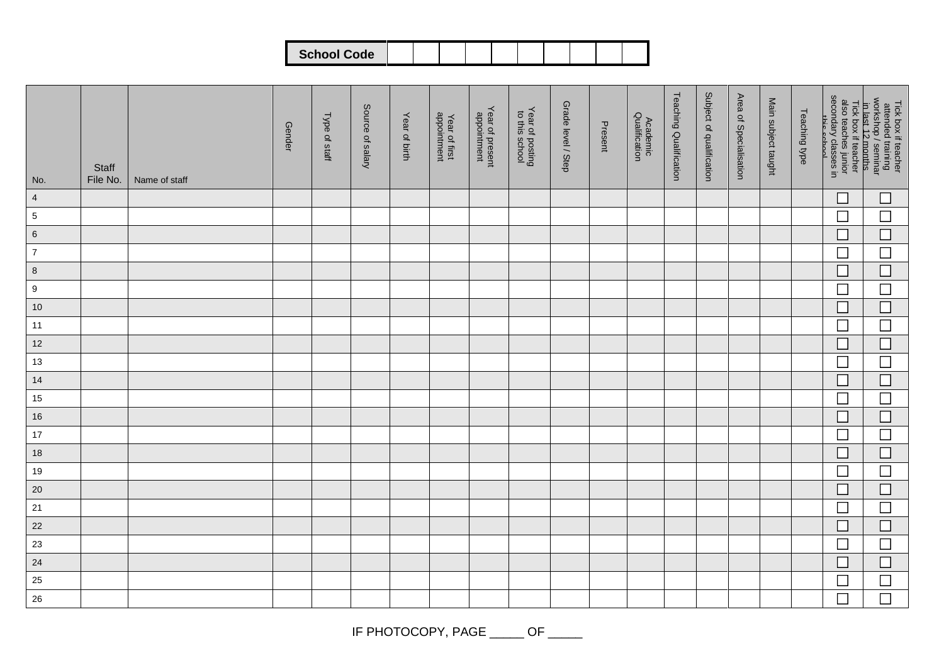| <b>School Code</b> |  |  |  |  |  |
|--------------------|--|--|--|--|--|
|                    |  |  |  |  |  |
|                    |  |  |  |  |  |
|                    |  |  |  |  |  |
|                    |  |  |  |  |  |

| No.              | Staff<br>File No. | Name of staff | <b>Gender</b> | Type of staff | Source of salary | Year of birth | Year of first<br>appointment | Year of present<br>appointment | Year of posting<br>to this school | Grade level / Step | Present | Academic<br>Qualification | <b>Teaching Qualification</b> | Subject of qualification | Area of Specialisation | Main subject taught | Teaching type |                             | Tick box if teacher<br>attended training<br>workshop/seminar<br>in last 12 months<br>also teaches junior<br>secondary classes in<br>exincration |
|------------------|-------------------|---------------|---------------|---------------|------------------|---------------|------------------------------|--------------------------------|-----------------------------------|--------------------|---------|---------------------------|-------------------------------|--------------------------|------------------------|---------------------|---------------|-----------------------------|-------------------------------------------------------------------------------------------------------------------------------------------------|
| $\overline{4}$   |                   |               |               |               |                  |               |                              |                                |                                   |                    |         |                           |                               |                          |                        |                     |               | $\mathcal{L}_{\mathcal{A}}$ | $\Box$                                                                                                                                          |
| $\sqrt{5}$       |                   |               |               |               |                  |               |                              |                                |                                   |                    |         |                           |                               |                          |                        |                     |               | $\Box$                      | $\Box$                                                                                                                                          |
| $\,6\,$          |                   |               |               |               |                  |               |                              |                                |                                   |                    |         |                           |                               |                          |                        |                     |               | $\overline{\phantom{a}}$    | $\Box$                                                                                                                                          |
| $\overline{7}$   |                   |               |               |               |                  |               |                              |                                |                                   |                    |         |                           |                               |                          |                        |                     |               | 匸                           | $\Box$                                                                                                                                          |
| $\bf 8$          |                   |               |               |               |                  |               |                              |                                |                                   |                    |         |                           |                               |                          |                        |                     |               | $\Box$                      | $\Box$                                                                                                                                          |
| $\boldsymbol{9}$ |                   |               |               |               |                  |               |                              |                                |                                   |                    |         |                           |                               |                          |                        |                     |               | $\Box$                      | $\Box$                                                                                                                                          |
| $10$             |                   |               |               |               |                  |               |                              |                                |                                   |                    |         |                           |                               |                          |                        |                     |               | $\mathcal{L}_{\mathcal{A}}$ | $\Box$                                                                                                                                          |
| 11               |                   |               |               |               |                  |               |                              |                                |                                   |                    |         |                           |                               |                          |                        |                     |               | $\overline{\phantom{a}}$    | $\overline{\phantom{a}}$                                                                                                                        |
| 12               |                   |               |               |               |                  |               |                              |                                |                                   |                    |         |                           |                               |                          |                        |                     |               | $\mathcal{L}_{\mathcal{A}}$ | $\Box$                                                                                                                                          |
| 13               |                   |               |               |               |                  |               |                              |                                |                                   |                    |         |                           |                               |                          |                        |                     |               | $\Box$                      | $\Box$                                                                                                                                          |
| 14               |                   |               |               |               |                  |               |                              |                                |                                   |                    |         |                           |                               |                          |                        |                     |               | $\Box$                      | $\Box$                                                                                                                                          |
| 15               |                   |               |               |               |                  |               |                              |                                |                                   |                    |         |                           |                               |                          |                        |                     |               | $\overline{\phantom{a}}$    | $\Box$                                                                                                                                          |
| 16               |                   |               |               |               |                  |               |                              |                                |                                   |                    |         |                           |                               |                          |                        |                     |               | $\mathcal{L}_{\mathcal{A}}$ | $\Box$                                                                                                                                          |
| 17               |                   |               |               |               |                  |               |                              |                                |                                   |                    |         |                           |                               |                          |                        |                     |               | $\mathcal{L}_{\mathcal{A}}$ | $\Box$                                                                                                                                          |
| $18$             |                   |               |               |               |                  |               |                              |                                |                                   |                    |         |                           |                               |                          |                        |                     |               | $\Box$                      | $\Box$                                                                                                                                          |
| 19               |                   |               |               |               |                  |               |                              |                                |                                   |                    |         |                           |                               |                          |                        |                     |               | $\mathcal{L}_{\mathcal{A}}$ | $\Box$                                                                                                                                          |
| $20\,$           |                   |               |               |               |                  |               |                              |                                |                                   |                    |         |                           |                               |                          |                        |                     |               | n.                          | $\Box$                                                                                                                                          |
| $21$             |                   |               |               |               |                  |               |                              |                                |                                   |                    |         |                           |                               |                          |                        |                     |               | $\Box$                      | $\Box$                                                                                                                                          |
| 22               |                   |               |               |               |                  |               |                              |                                |                                   |                    |         |                           |                               |                          |                        |                     |               | $\mathcal{L}_{\mathcal{A}}$ | $\Box$                                                                                                                                          |
| 23               |                   |               |               |               |                  |               |                              |                                |                                   |                    |         |                           |                               |                          |                        |                     |               | $\Box$                      | $\Box$                                                                                                                                          |
| 24               |                   |               |               |               |                  |               |                              |                                |                                   |                    |         |                           |                               |                          |                        |                     |               | $\overline{\phantom{a}}$    | $\Box$                                                                                                                                          |
| 25               |                   |               |               |               |                  |               |                              |                                |                                   |                    |         |                           |                               |                          |                        |                     |               | $\mathcal{L}_{\mathcal{A}}$ | $\Box$                                                                                                                                          |
| $26\,$           |                   |               |               |               |                  |               |                              |                                |                                   |                    |         |                           |                               |                          |                        |                     |               | $\Box$                      | $\Box$                                                                                                                                          |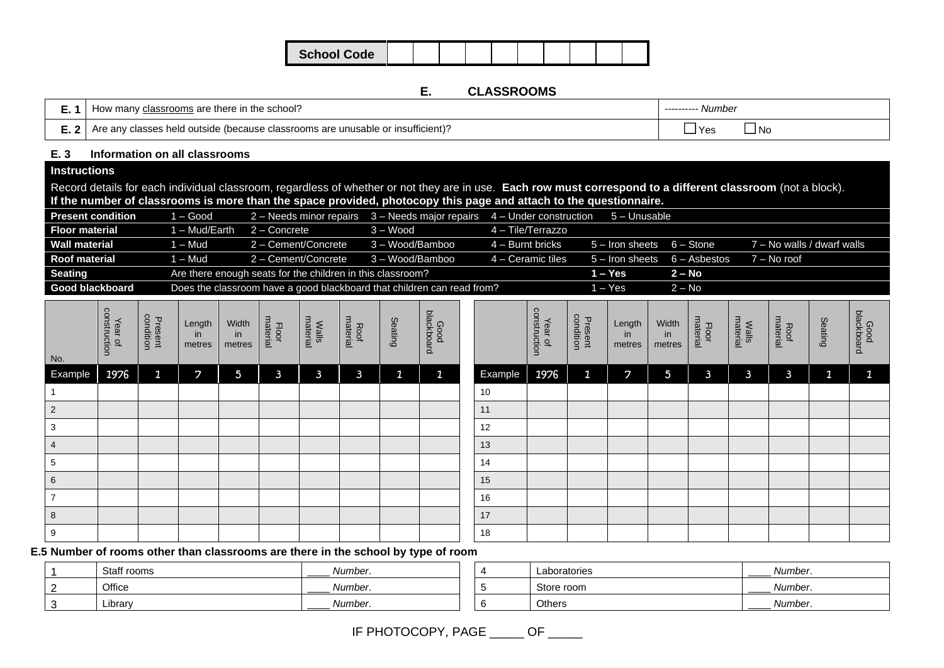| <b>School Code</b> |  |  |  |  |  |
|--------------------|--|--|--|--|--|
|                    |  |  |  |  |  |

#### **E. CLASSROOMS**

| classrooms are there in the school?<br>HOW                                      | ---------- Number |
|---------------------------------------------------------------------------------|-------------------|
| Are any classes held outside (because classrooms are unusable or insufficient)? | l No<br>'Yes      |

#### **E. 3 Information on all classrooms**

## **Instructions**

Record details for each individual classroom, regardless of whether or not they are in use. **Each row must correspond to a different classroom** (not a block). **If the number of classrooms is more than the space provided, photocopy this page and attach to the questionnaire.**

| <b>Present condition</b> | 1 – Good      | $2 -$ Needs minor repairs $3 -$ Needs major repairs $4 -$ Under construction |                 |                     | 5 – Unusable                     |          |                            |
|--------------------------|---------------|------------------------------------------------------------------------------|-----------------|---------------------|----------------------------------|----------|----------------------------|
| <b>Floor material</b>    | 1 – Mud/Earth | 2 – Concrete                                                                 | $3 - Wood$      | 4 – Tile/Terrazzo   |                                  |          |                            |
| <b>Wall material</b>     | 1 – Mud       | 2 - Cement/Concrete                                                          | 3 - Wood/Bamboo | $4 -$ Burnt bricks  | $5 -$ Iron sheets $6 -$ Stone    |          | 7 – No walls / dwarf walls |
| <b>Roof material</b>     | $1 - Mud$     | 2 - Cement/Concrete                                                          | 3 – Wood/Bamboo | $4 -$ Ceramic tiles | $5 -$ Iron sheets $6 -$ Asbestos |          | 7 – No roof                |
| <b>Seating</b>           |               | Are there enough seats for the children in this classroom?                   |                 |                     | l – Yes                          | $2 - No$ |                            |
| Good blackboard          |               | Does the classroom have a good blackboard that children can read from?       |                 |                     | l – Yes                          | $2 - No$ |                            |

| No.            | Year of<br>construction | Present<br>condition | Length<br>in<br>metres | Width<br>in<br>metres | Floor<br>material | <b>Walls</b><br>material | Roof<br>material | Seating      | Good<br>blackboard |         | Year of<br>construction | Present<br>condition | Length<br>in<br>metres | Width<br>in<br>metres | Floor<br>material | <b>Walls</b><br>material | Roof<br>material | Seating      | Good<br>blackboard |
|----------------|-------------------------|----------------------|------------------------|-----------------------|-------------------|--------------------------|------------------|--------------|--------------------|---------|-------------------------|----------------------|------------------------|-----------------------|-------------------|--------------------------|------------------|--------------|--------------------|
| Example        | 1976                    | $\mathbf{1}$         | $\mathcal{L}$          | $5\phantom{.0}$       | $\mathbf{3}$      | $\mathbf{3}$             | $\mathbf{3}$     | $\mathbf{1}$ | $\mathbf{1}$       | Example | 1976                    | $\mathbf{1}$         | $\overline{z}$         | $5\phantom{.0}$       | $\mathbf{3}$      | $\mathbf{3}$             | $\mathbf{3}$     | $\mathbf{1}$ | $\mathbf{1}$       |
|                |                         |                      |                        |                       |                   |                          |                  |              |                    | 10      |                         |                      |                        |                       |                   |                          |                  |              |                    |
| $\overline{2}$ |                         |                      |                        |                       |                   |                          |                  |              |                    | 11      |                         |                      |                        |                       |                   |                          |                  |              |                    |
| 3              |                         |                      |                        |                       |                   |                          |                  |              |                    | 12      |                         |                      |                        |                       |                   |                          |                  |              |                    |
| 4              |                         |                      |                        |                       |                   |                          |                  |              |                    | 13      |                         |                      |                        |                       |                   |                          |                  |              |                    |
| 5              |                         |                      |                        |                       |                   |                          |                  |              |                    | 14      |                         |                      |                        |                       |                   |                          |                  |              |                    |
| 6              |                         |                      |                        |                       |                   |                          |                  |              |                    | 15      |                         |                      |                        |                       |                   |                          |                  |              |                    |
| $\overline{z}$ |                         |                      |                        |                       |                   |                          |                  |              |                    | 16      |                         |                      |                        |                       |                   |                          |                  |              |                    |
| 8              |                         |                      |                        |                       |                   |                          |                  |              |                    | 17      |                         |                      |                        |                       |                   |                          |                  |              |                    |
| 9              |                         |                      |                        |                       |                   |                          |                  |              |                    | 18      |                         |                      |                        |                       |                   |                          |                  |              |                    |

**E.5 Number of rooms other than classrooms are there in the school by type of room**

| Staff rooms | Number.<br>______ |  | Laboratories | Number. |
|-------------|-------------------|--|--------------|---------|
| Office      | Number.<br>____   |  | Store room   | Number. |
| Library     | Number.<br>_____  |  | Others       | Number. |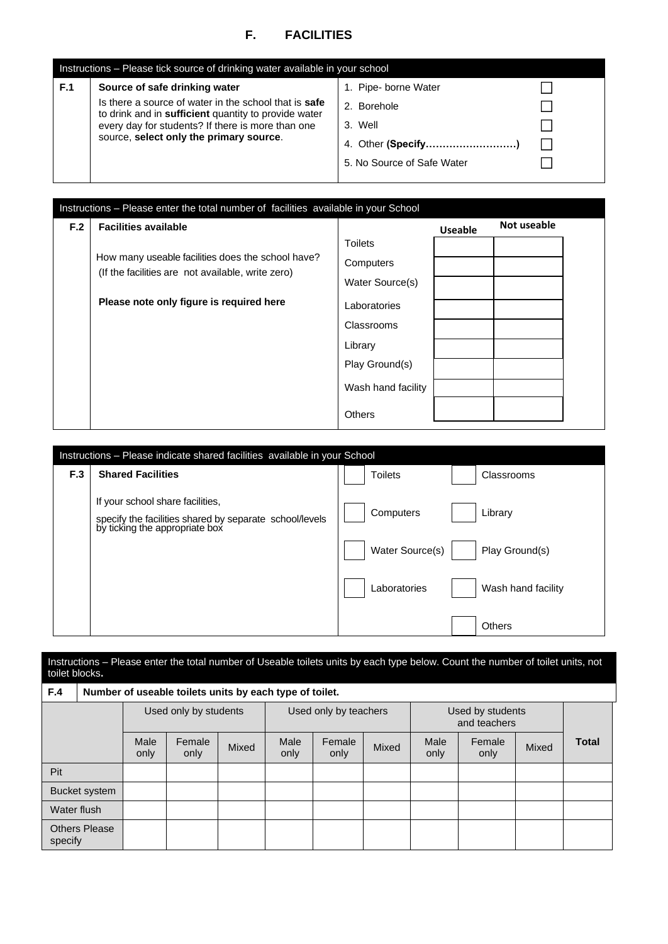# **F. FACILITIES**

|     | Instructions – Please tick source of drinking water available in your school                                                                                                                                                                          |                                                                              |  |  |  |  |  |  |  |  |  |
|-----|-------------------------------------------------------------------------------------------------------------------------------------------------------------------------------------------------------------------------------------------------------|------------------------------------------------------------------------------|--|--|--|--|--|--|--|--|--|
| F.1 | Source of safe drinking water<br>Is there a source of water in the school that is <b>safe</b><br>to drink and in sufficient quantity to provide water<br>every day for students? If there is more than one<br>source, select only the primary source. | 1. Pipe- borne Water<br>2. Borehole<br>3. Well<br>5. No Source of Safe Water |  |  |  |  |  |  |  |  |  |

| F.2 | <b>Facilities available</b>                                                                            |                    | <b>Useable</b> | Not useable |
|-----|--------------------------------------------------------------------------------------------------------|--------------------|----------------|-------------|
|     |                                                                                                        | <b>Toilets</b>     |                |             |
|     | How many useable facilities does the school have?<br>(If the facilities are not available, write zero) | Computers          |                |             |
|     |                                                                                                        | Water Source(s)    |                |             |
|     | Please note only figure is required here                                                               | Laboratories       |                |             |
|     |                                                                                                        | Classrooms         |                |             |
|     |                                                                                                        | Library            |                |             |
|     |                                                                                                        | Play Ground(s)     |                |             |
|     |                                                                                                        | Wash hand facility |                |             |
|     |                                                                                                        | <b>Others</b>      |                |             |

|     | Instructions – Please indicate shared facilities available in your School                                                     |                 |                    |
|-----|-------------------------------------------------------------------------------------------------------------------------------|-----------------|--------------------|
| F.3 | <b>Shared Facilities</b>                                                                                                      | <b>Toilets</b>  | Classrooms         |
|     | If your school share facilities,<br>specify the facilities shared by separate school/levels<br>by ticking the appropriate box | Computers       | Library            |
|     |                                                                                                                               | Water Source(s) | Play Ground(s)     |
|     |                                                                                                                               | Laboratories    | Wash hand facility |
|     |                                                                                                                               |                 | <b>Others</b>      |

#### Instructions – Please enter the total number of Useable toilets units by each type below. Count the number of toilet units, not toilet blocks**.**

| F.4         |                      |              | Number of useable toilets units by each type of toilet. |       |              |                       |       |              |                                  |       |              |
|-------------|----------------------|--------------|---------------------------------------------------------|-------|--------------|-----------------------|-------|--------------|----------------------------------|-------|--------------|
|             |                      |              | Used only by students                                   |       |              | Used only by teachers |       |              | Used by students<br>and teachers |       |              |
|             |                      | Male<br>only | Female<br>only                                          | Mixed | Male<br>only | Female<br>only        | Mixed | Male<br>only | Female<br>only                   | Mixed | <b>Total</b> |
| Pit         |                      |              |                                                         |       |              |                       |       |              |                                  |       |              |
|             | Bucket system        |              |                                                         |       |              |                       |       |              |                                  |       |              |
| Water flush |                      |              |                                                         |       |              |                       |       |              |                                  |       |              |
| specify     | <b>Others Please</b> |              |                                                         |       |              |                       |       |              |                                  |       |              |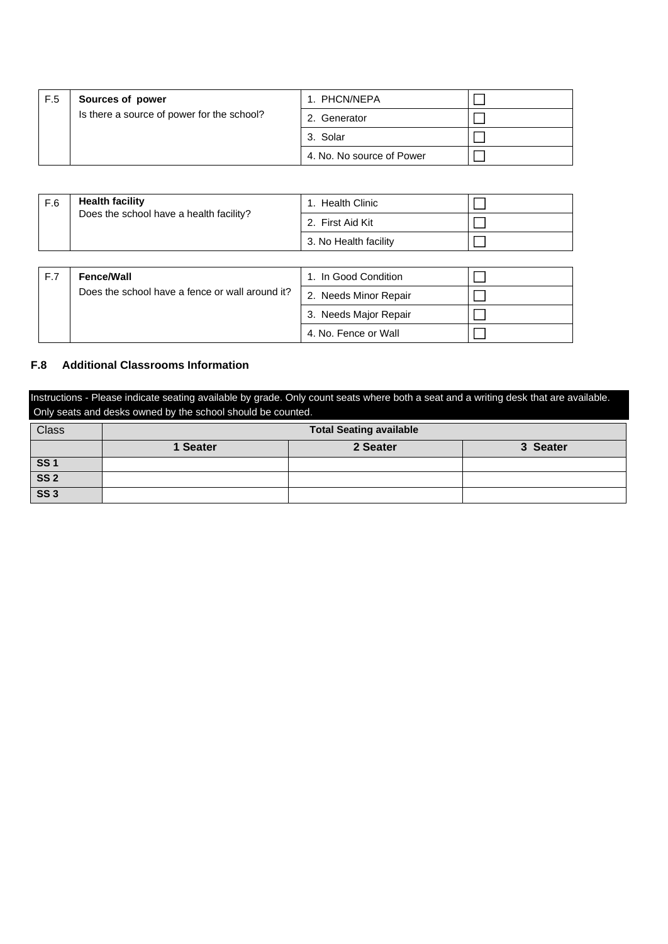| F.5 | Sources of power                           | 1. PHCN/NEPA              |  |
|-----|--------------------------------------------|---------------------------|--|
|     | Is there a source of power for the school? | 2. Generator              |  |
|     |                                            | 3. Solar                  |  |
|     |                                            | 4. No. No source of Power |  |

| F.6 | <b>Health facility</b>                          | 1. Health Clinic      |  |
|-----|-------------------------------------------------|-----------------------|--|
|     | Does the school have a health facility?         | 2. First Aid Kit      |  |
|     |                                                 | 3. No Health facility |  |
|     |                                                 |                       |  |
| F.7 | <b>Fence/Wall</b>                               | 1. In Good Condition  |  |
|     | Does the school have a fence or wall around it? | 2. Needs Minor Repair |  |
|     |                                                 | 3. Needs Major Repair |  |

#### **F.8 Additional Classrooms Information**

Instructions - Please indicate seating available by grade. Only count seats where both a seat and a writing desk that are available. Only seats and desks owned by the school should be counted.

4. No. Fence or Wall

 $\Box$ 

| <b>Class</b>             | <b>Total Seating available</b>   |  |  |  |
|--------------------------|----------------------------------|--|--|--|
|                          | 2 Seater<br>3 Seater<br>1 Seater |  |  |  |
| SS <sub>1</sub>          |                                  |  |  |  |
| $\overline{\text{SS 2}}$ |                                  |  |  |  |
| $\overline{\text{SS }3}$ |                                  |  |  |  |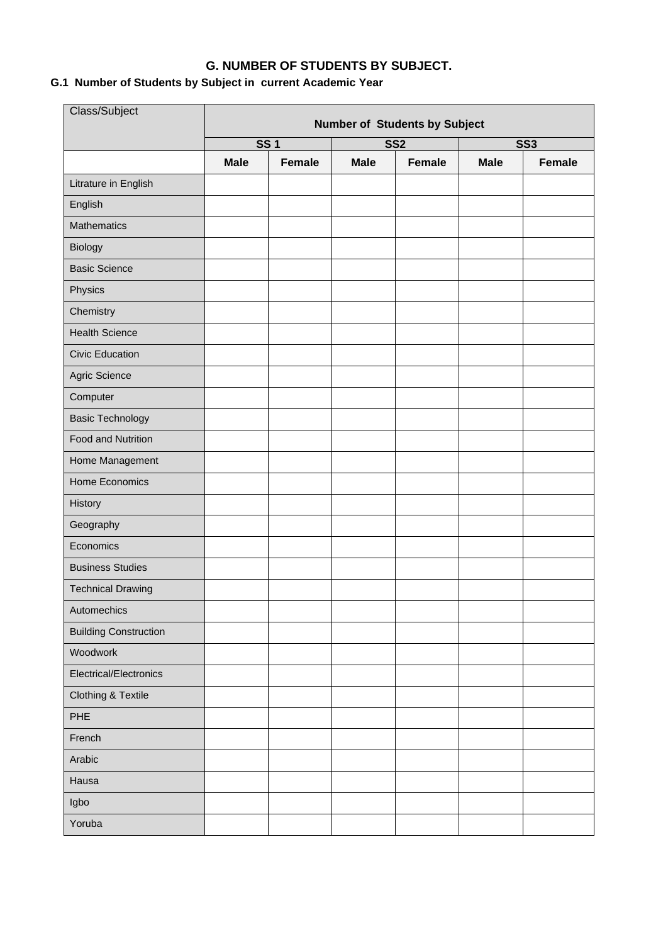# **G. NUMBER OF STUDENTS BY SUBJECT.**

# **G.1 Number of Students by Subject in current Academic Year**

| Class/Subject                | <b>Number of Students by Subject</b> |               |                 |               |             |        |
|------------------------------|--------------------------------------|---------------|-----------------|---------------|-------------|--------|
|                              | <b>SS1</b>                           |               | SS <sub>2</sub> |               | <b>SS3</b>  |        |
|                              | <b>Male</b>                          | <b>Female</b> | <b>Male</b>     | <b>Female</b> | <b>Male</b> | Female |
| Litrature in English         |                                      |               |                 |               |             |        |
| English                      |                                      |               |                 |               |             |        |
| <b>Mathematics</b>           |                                      |               |                 |               |             |        |
| Biology                      |                                      |               |                 |               |             |        |
| <b>Basic Science</b>         |                                      |               |                 |               |             |        |
| Physics                      |                                      |               |                 |               |             |        |
| Chemistry                    |                                      |               |                 |               |             |        |
| <b>Health Science</b>        |                                      |               |                 |               |             |        |
| <b>Civic Education</b>       |                                      |               |                 |               |             |        |
| Agric Science                |                                      |               |                 |               |             |        |
| Computer                     |                                      |               |                 |               |             |        |
| <b>Basic Technology</b>      |                                      |               |                 |               |             |        |
| Food and Nutrition           |                                      |               |                 |               |             |        |
| Home Management              |                                      |               |                 |               |             |        |
| Home Economics               |                                      |               |                 |               |             |        |
| History                      |                                      |               |                 |               |             |        |
| Geography                    |                                      |               |                 |               |             |        |
| Economics                    |                                      |               |                 |               |             |        |
| <b>Business Studies</b>      |                                      |               |                 |               |             |        |
| <b>Technical Drawing</b>     |                                      |               |                 |               |             |        |
| Automechics                  |                                      |               |                 |               |             |        |
| <b>Building Construction</b> |                                      |               |                 |               |             |        |
| Woodwork                     |                                      |               |                 |               |             |        |
| Electrical/Electronics       |                                      |               |                 |               |             |        |
| Clothing & Textile           |                                      |               |                 |               |             |        |
| PHE                          |                                      |               |                 |               |             |        |
| French                       |                                      |               |                 |               |             |        |
| Arabic                       |                                      |               |                 |               |             |        |
| Hausa                        |                                      |               |                 |               |             |        |
| Igbo                         |                                      |               |                 |               |             |        |
| Yoruba                       |                                      |               |                 |               |             |        |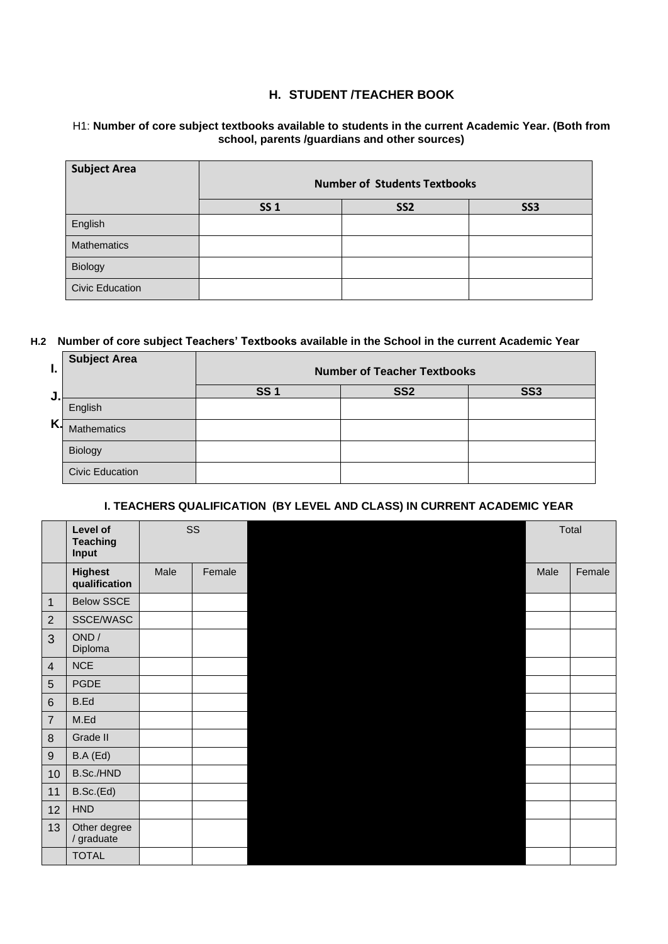## **H. STUDENT /TEACHER BOOK**

#### H1: **Number of core subject textbooks available to students in the current Academic Year. (Both from school, parents /guardians and other sources)**

| <b>Subject Area</b>    | <b>Number of Students Textbooks</b> |                 |            |
|------------------------|-------------------------------------|-----------------|------------|
|                        | <b>SS1</b>                          | SS <sub>2</sub> | <b>SS3</b> |
| English                |                                     |                 |            |
| Mathematics            |                                     |                 |            |
| Biology                |                                     |                 |            |
| <b>Civic Education</b> |                                     |                 |            |

### **H.2 Number of core subject Teachers' Textbooks available in the School in the current Academic Year**

| ı. | <b>Subject Area</b>    | <b>Number of Teacher Textbooks</b> |                 |            |
|----|------------------------|------------------------------------|-----------------|------------|
| J  |                        | <b>SS1</b>                         | SS <sub>2</sub> | <b>SS3</b> |
|    | English                |                                    |                 |            |
| Κ. | <b>Mathematics</b>     |                                    |                 |            |
|    | Biology                |                                    |                 |            |
|    | <b>Civic Education</b> |                                    |                 |            |

#### **I. TEACHERS QUALIFICATION (BY LEVEL AND CLASS) IN CURRENT ACADEMIC YEAR**

|                  | Level of<br><b>Teaching</b><br>Input | SS   |        | Total |        |
|------------------|--------------------------------------|------|--------|-------|--------|
|                  | <b>Highest</b><br>qualification      | Male | Female | Male  | Female |
| $\mathbf{1}$     | <b>Below SSCE</b>                    |      |        |       |        |
| $\sqrt{2}$       | SSCE/WASC                            |      |        |       |        |
| 3                | OND /<br>Diploma                     |      |        |       |        |
| $\overline{4}$   | <b>NCE</b>                           |      |        |       |        |
| $\sqrt{5}$       | <b>PGDE</b>                          |      |        |       |        |
| $\,6$            | B.Ed                                 |      |        |       |        |
| $\boldsymbol{7}$ | M.Ed                                 |      |        |       |        |
| $\, 8$           | Grade II                             |      |        |       |        |
| $\boldsymbol{9}$ | B.A (Ed)                             |      |        |       |        |
| 10               | B.Sc./HND                            |      |        |       |        |
| 11               | B.Sc.(Ed)                            |      |        |       |        |
| 12               | HND                                  |      |        |       |        |
| 13               | Other degree<br>/ graduate           |      |        |       |        |
|                  | <b>TOTAL</b>                         |      |        |       |        |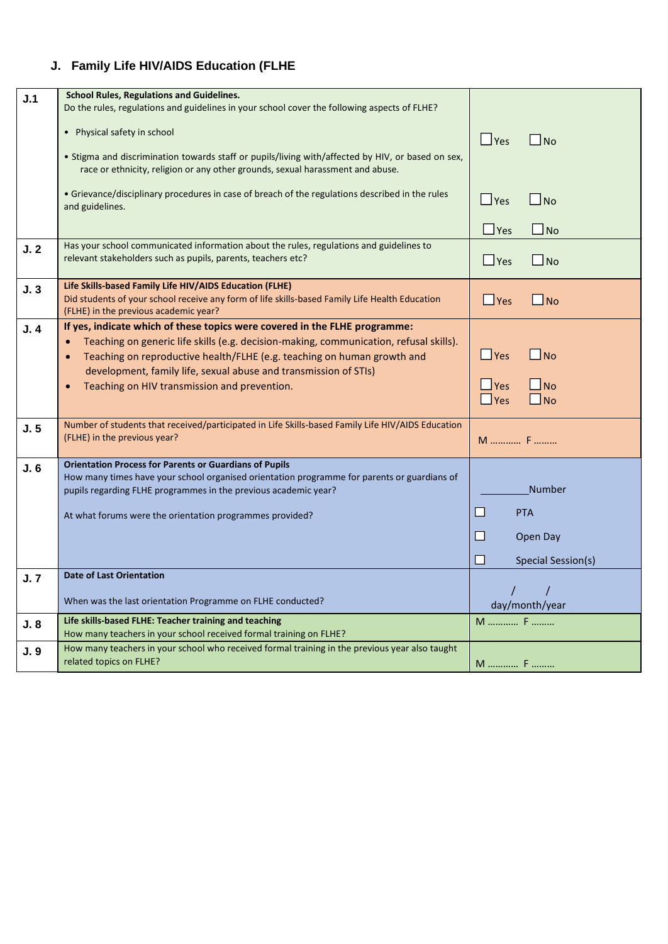# **J. Family Life HIV/AIDS Education (FLHE**

| J.1 | <b>School Rules, Regulations and Guidelines.</b>                                                                                                                                                                                                                                                                                                                                 |                                                                                          |
|-----|----------------------------------------------------------------------------------------------------------------------------------------------------------------------------------------------------------------------------------------------------------------------------------------------------------------------------------------------------------------------------------|------------------------------------------------------------------------------------------|
|     | Do the rules, regulations and guidelines in your school cover the following aspects of FLHE?                                                                                                                                                                                                                                                                                     |                                                                                          |
|     | • Physical safety in school                                                                                                                                                                                                                                                                                                                                                      | $\Box$ Yes<br>$\Box$ No                                                                  |
|     | • Stigma and discrimination towards staff or pupils/living with/affected by HIV, or based on sex,<br>race or ethnicity, religion or any other grounds, sexual harassment and abuse.                                                                                                                                                                                              |                                                                                          |
|     | • Grievance/disciplinary procedures in case of breach of the regulations described in the rules<br>and guidelines.                                                                                                                                                                                                                                                               | $\Box$ No<br>$\Box$ Yes                                                                  |
|     |                                                                                                                                                                                                                                                                                                                                                                                  | $\Box$ No<br>$\Box$ Yes                                                                  |
| J.2 | Has your school communicated information about the rules, regulations and guidelines to<br>relevant stakeholders such as pupils, parents, teachers etc?                                                                                                                                                                                                                          | $\Box$ No<br>$\Box$ Yes                                                                  |
| J.3 | Life Skills-based Family Life HIV/AIDS Education (FLHE)<br>Did students of your school receive any form of life skills-based Family Life Health Education<br>(FLHE) in the previous academic year?                                                                                                                                                                               | $\Box$ No<br>$\Box$ Yes                                                                  |
| J.4 | If yes, indicate which of these topics were covered in the FLHE programme:<br>Teaching on generic life skills (e.g. decision-making, communication, refusal skills).<br>Teaching on reproductive health/FLHE (e.g. teaching on human growth and<br>$\bullet$<br>development, family life, sexual abuse and transmission of STIs)<br>Teaching on HIV transmission and prevention. | $\square$ No<br>$\Box$ Yes<br>$\Box$ Yes<br>$\bigsqcup$ No<br>$\square$ No<br>$\Box$ Yes |
| J.5 | Number of students that received/participated in Life Skills-based Family Life HIV/AIDS Education<br>(FLHE) in the previous year?                                                                                                                                                                                                                                                | M  F                                                                                     |
| J.6 | <b>Orientation Process for Parents or Guardians of Pupils</b><br>How many times have your school organised orientation programme for parents or guardians of<br>pupils regarding FLHE programmes in the previous academic year?<br>At what forums were the orientation programmes provided?                                                                                      | <b>Number</b><br>$\Box$<br><b>PTA</b><br>$\Box$<br>Open Day<br>П<br>Special Session(s)   |
| J.7 | <b>Date of Last Orientation</b>                                                                                                                                                                                                                                                                                                                                                  |                                                                                          |
|     | When was the last orientation Programme on FLHE conducted?                                                                                                                                                                                                                                                                                                                       | day/month/year                                                                           |
| J.8 | Life skills-based FLHE: Teacher training and teaching<br>How many teachers in your school received formal training on FLHE?                                                                                                                                                                                                                                                      | M  F                                                                                     |
| J.9 | How many teachers in your school who received formal training in the previous year also taught<br>related topics on FLHE?                                                                                                                                                                                                                                                        | M  F                                                                                     |